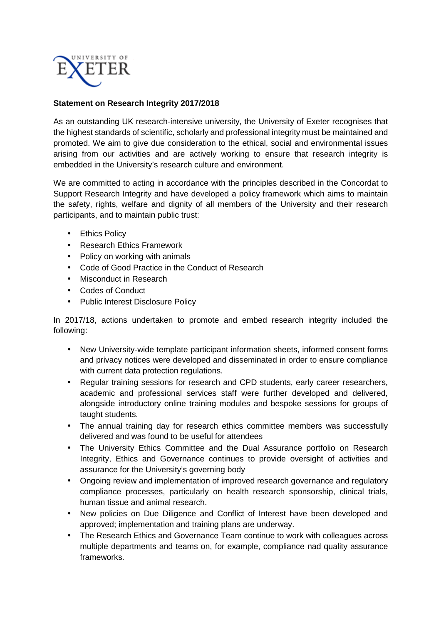

## **Statement on Research Integrity 2017/2018**

As an outstanding UK research-intensive university, the University of Exeter recognises that the highest standards of scientific, scholarly and professional integrity must be maintained and promoted. We aim to give due consideration to the ethical, social and environmental issues arising from our activities and are actively working to ensure that research integrity is embedded in the University's research culture and environment.

We are committed to acting in accordance with the principles described in the Concordat to Support Research Integrity and have developed a policy framework which aims to maintain the safety, rights, welfare and dignity of all members of the University and their research participants, and to maintain public trust:

- Ethics Policy
- Research Ethics Framework
- Policy on working with animals
- Code of Good Practice in the Conduct of Research
- Misconduct in Research
- Codes of Conduct
- Public Interest Disclosure Policy

In 2017/18, actions undertaken to promote and embed research integrity included the following:

- New University-wide template participant information sheets, informed consent forms and privacy notices were developed and disseminated in order to ensure compliance with current data protection regulations.
- Regular training sessions for research and CPD students, early career researchers, academic and professional services staff were further developed and delivered, alongside introductory online training modules and bespoke sessions for groups of taught students.
- The annual training day for research ethics committee members was successfully delivered and was found to be useful for attendees
- The University Ethics Committee and the Dual Assurance portfolio on Research Integrity, Ethics and Governance continues to provide oversight of activities and assurance for the University's governing body
- Ongoing review and implementation of improved research governance and regulatory compliance processes, particularly on health research sponsorship, clinical trials, human tissue and animal research.
- New policies on Due Diligence and Conflict of Interest have been developed and approved; implementation and training plans are underway.
- The Research Ethics and Governance Team continue to work with colleagues across multiple departments and teams on, for example, compliance nad quality assurance frameworks.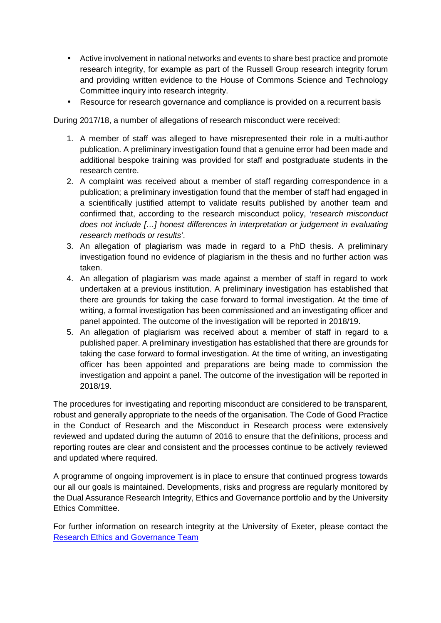- Active involvement in national networks and events to share best practice and promote research integrity, for example as part of the Russell Group research integrity forum and providing written evidence to the House of Commons Science and Technology Committee inquiry into research integrity.
- Resource for research governance and compliance is provided on a recurrent basis

During 2017/18, a number of allegations of research misconduct were received:

- 1. A member of staff was alleged to have misrepresented their role in a multi-author publication. A preliminary investigation found that a genuine error had been made and additional bespoke training was provided for staff and postgraduate students in the research centre.
- 2. A complaint was received about a member of staff regarding correspondence in a publication; a preliminary investigation found that the member of staff had engaged in a scientifically justified attempt to validate results published by another team and confirmed that, according to the research misconduct policy, 'research misconduct does not include […] honest differences in interpretation or judgement in evaluating research methods or results'.
- 3. An allegation of plagiarism was made in regard to a PhD thesis. A preliminary investigation found no evidence of plagiarism in the thesis and no further action was taken.
- 4. An allegation of plagiarism was made against a member of staff in regard to work undertaken at a previous institution. A preliminary investigation has established that there are grounds for taking the case forward to formal investigation. At the time of writing, a formal investigation has been commissioned and an investigating officer and panel appointed. The outcome of the investigation will be reported in 2018/19.
- 5. An allegation of plagiarism was received about a member of staff in regard to a published paper. A preliminary investigation has established that there are grounds for taking the case forward to formal investigation. At the time of writing, an investigating officer has been appointed and preparations are being made to commission the investigation and appoint a panel. The outcome of the investigation will be reported in 2018/19.

The procedures for investigating and reporting misconduct are considered to be transparent, robust and generally appropriate to the needs of the organisation. The Code of Good Practice in the Conduct of Research and the Misconduct in Research process were extensively reviewed and updated during the autumn of 2016 to ensure that the definitions, process and reporting routes are clear and consistent and the processes continue to be actively reviewed and updated where required.

A programme of ongoing improvement is in place to ensure that continued progress towards our all our goals is maintained. Developments, risks and progress are regularly monitored by the Dual Assurance Research Integrity, Ethics and Governance portfolio and by the University Ethics Committee.

For further information on research integrity at the University of Exeter, please contact the Research Ethics and Governance Team